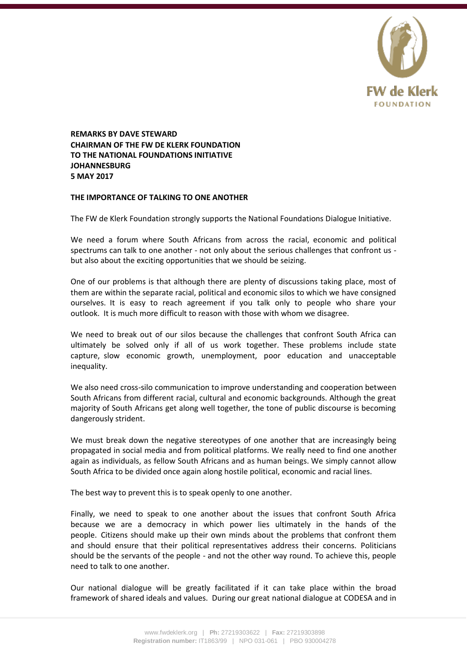

**REMARKS BY DAVE STEWARD CHAIRMAN OF THE FW DE KLERK FOUNDATION TO THE NATIONAL FOUNDATIONS INITIATIVE JOHANNESBURG 5 MAY 2017**

## **THE IMPORTANCE OF TALKING TO ONE ANOTHER**

The FW de Klerk Foundation strongly supports the National Foundations Dialogue Initiative.

We need a forum where South Africans from across the racial, economic and political spectrums can talk to one another - not only about the serious challenges that confront us but also about the exciting opportunities that we should be seizing.

One of our problems is that although there are plenty of discussions taking place, most of them are within the separate racial, political and economic silos to which we have consigned ourselves. It is easy to reach agreement if you talk only to people who share your outlook. It is much more difficult to reason with those with whom we disagree.

We need to break out of our silos because the challenges that confront South Africa can ultimately be solved only if all of us work together. These problems include state capture, slow economic growth, unemployment, poor education and unacceptable inequality.

We also need cross-silo communication to improve understanding and cooperation between South Africans from different racial, cultural and economic backgrounds. Although the great majority of South Africans get along well together, the tone of public discourse is becoming dangerously strident.

We must break down the negative stereotypes of one another that are increasingly being propagated in social media and from political platforms. We really need to find one another again as individuals, as fellow South Africans and as human beings. We simply cannot allow South Africa to be divided once again along hostile political, economic and racial lines.

The best way to prevent this is to speak openly to one another.

Finally, we need to speak to one another about the issues that confront South Africa because we are a democracy in which power lies ultimately in the hands of the people. Citizens should make up their own minds about the problems that confront them and should ensure that their political representatives address their concerns. Politicians should be the servants of the people - and not the other way round. To achieve this, people need to talk to one another.

Our national dialogue will be greatly facilitated if it can take place within the broad framework of shared ideals and values. During our great national dialogue at CODESA and in